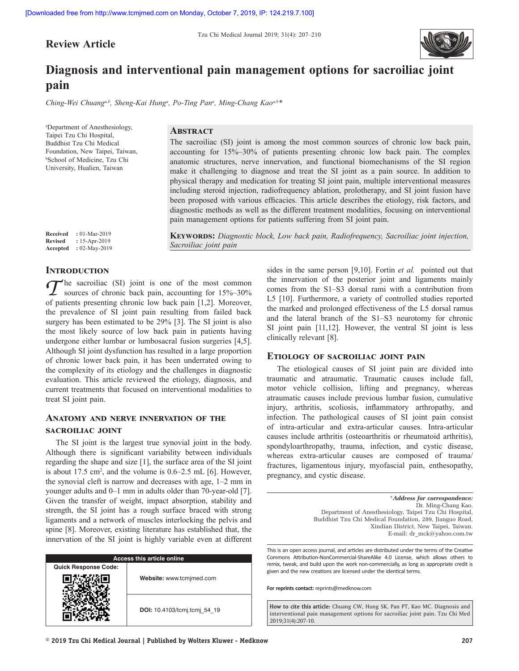**Review Article**



# **Diagnosis and interventional pain management options for sacroiliac joint pain**

*Ching‑Wei Chuanga,b, Sheng‑Kai Hunga , Po‑Ting Pana , Ming‑Chang Kaoa,b\**

a Department of Anesthesiology, Taipei Tzu Chi Hospital, Buddhist Tzu Chi Medical Foundation, New Taipei, Taiwan, b School of Medicine, Tzu Chi University, Hualien, Taiwan

**Revised :** 15-Apr-2019 **Accepted :** 02-May-2019

## **Abstract**

The sacroiliac (SI) joint is among the most common sources of chronic low back pain, accounting for 15%–30% of patients presenting chronic low back pain. The complex anatomic structures, nerve innervation, and functional biomechanisms of the SI region make it challenging to diagnose and treat the SI joint as a pain source. In addition to physical therapy and medication for treating SI joint pain, multiple interventional measures including steroid injection, radiofrequency ablation, prolotherapy, and SI joint fusion have been proposed with various efficacies. This article describes the etiology, risk factors, and diagnostic methods as well as the different treatment modalities, focusing on interventional pain management options for patients suffering from SI joint pain. **Received :** 01-Mar-2019<br>**Revised :** 15-Apr-2019

**Keywords:** *Diagnostic block, Low back pain, Radiofrequency, Sacroiliac joint injection, Sacroiliac joint pain*

## **Introduction**

<sup>th</sup> he sacroiliac (SI) joint is one of the most common sources of chronic back pain, accounting for 15%–30% of patients presenting chronic low back pain [1,2]. Moreover, the prevalence of SI joint pain resulting from failed back surgery has been estimated to be 29% [3]. The SI joint is also the most likely source of low back pain in patients having undergone either lumbar or lumbosacral fusion surgeries [4,5]. Although SI joint dysfunction has resulted in a large proportion of chronic lower back pain, it has been underrated owing to the complexity of its etiology and the challenges in diagnostic evaluation. This article reviewed the etiology, diagnosis, and current treatments that focused on interventional modalities to treat SI joint pain.

# **Anatomy and nerve innervation of the sacroiliac joint**

The SI joint is the largest true synovial joint in the body. Although there is significant variability between individuals regarding the shape and size [1], the surface area of the SI joint is about  $17.5 \text{ cm}^2$ , and the volume is  $0.6-2.5 \text{ mL}$  [6]. However, the synovial cleft is narrow and decreases with age, 1–2 mm in younger adults and 0–1 mm in adults older than 70-year-old [7]. Given the transfer of weight, impact absorption, stability and strength, the SI joint has a rough surface braced with strong ligaments and a network of muscles interlocking the pelvis and spine [8]. Moreover, existing literature has established that, the innervation of the SI joint is highly variable even at different

| <b>Access this article online</b> |                              |
|-----------------------------------|------------------------------|
| <b>Quick Response Code:</b>       |                              |
|                                   | Website: www.tcmjmed.com     |
|                                   | DOI: 10.4103/tcmj.tcmj 54 19 |

sides in the same person [9,10]. Fortin *et al.* pointed out that the innervation of the posterior joint and ligaments mainly comes from the S1–S3 dorsal rami with a contribution from L5 [10]. Furthermore, a variety of controlled studies reported the marked and prolonged effectiveness of the L5 dorsal ramus and the lateral branch of the S1–S3 neurotomy for chronic SI joint pain [11,12]. However, the ventral SI joint is less clinically relevant [8].

## **Etiology of sacroiliac joint pain**

The etiological causes of SI joint pain are divided into traumatic and atraumatic. Traumatic causes include fall, motor vehicle collision, lifting and pregnancy, whereas atraumatic causes include previous lumbar fusion, cumulative injury, arthritis, scoliosis, inflammatory arthropathy, and infection. The pathological causes of SI joint pain consist of intra-articular and extra-articular causes. Intra-articular causes include arthritis (osteoarthritis or rheumatoid arthritis), spondyloarthropathy, trauma, infection, and cystic disease, whereas extra-articular causes are composed of trauma/ fractures, ligamentous injury, myofascial pain, enthesopathy, pregnancy, and cystic disease.

> \**Address for correspondence:* Dr. Ming‑Chang Kao, Department of Anesthesiology, Taipei Tzu Chi Hospital, Buddhist Tzu Chi Medical Foundation, 289, Jianguo Road, Xindian District, New Taipei, Taiwan. E‑mail: dr\_mck@yahoo.com.tw

This is an open access journal, and articles are distributed under the terms of the Creative Commons Attribution‑NonCommercial‑ShareAlike 4.0 License, which allows others to remix, tweak, and build upon the work non‑commercially, as long as appropriate credit is given and the new creations are licensed under the identical terms.

**For reprints contact:** reprints@medknow.com

**How to cite this article:** Chuang CW, Hung SK, Pan PT, Kao MC. Diagnosis and interventional pain management options for sacroiliac joint pain. Tzu Chi Med 2019;31(4):207-10.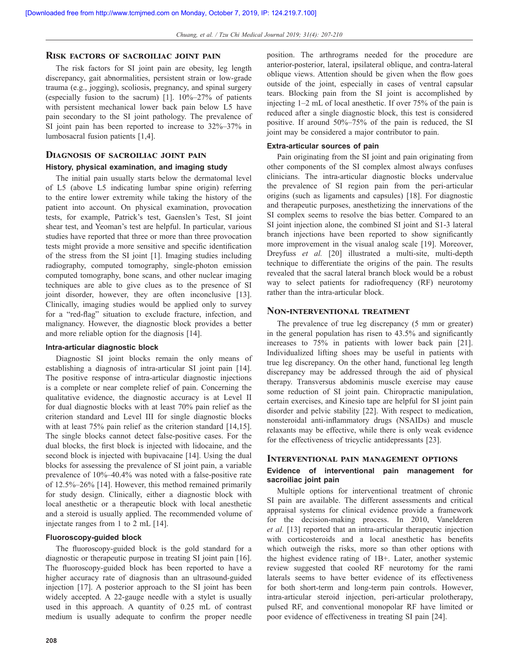## **Risk factors of sacroiliac joint pain**

The risk factors for SI joint pain are obesity, leg length discrepancy, gait abnormalities, persistent strain or low-grade trauma (e.g., jogging), scoliosis, pregnancy, and spinal surgery (especially fusion to the sacrum) [1].  $10\% - 27\%$  of patients with persistent mechanical lower back pain below L5 have pain secondary to the SI joint pathology. The prevalence of SI joint pain has been reported to increase to 32%–37% in lumbosacral fusion patients [1,4].

## **Diagnosis of sacroiliac joint pain**

#### **History, physical examination, and imaging study**

The initial pain usually starts below the dermatomal level of L5 (above L5 indicating lumbar spine origin) referring to the entire lower extremity while taking the history of the patient into account. On physical examination, provocation tests, for example, Patrick's test, Gaenslen's Test, SI joint shear test, and Yeoman's test are helpful. In particular, various studies have reported that three or more than three provocation tests might provide a more sensitive and specific identification of the stress from the SI joint [1]. Imaging studies including radiography, computed tomography, single-photon emission computed tomography, bone scans, and other nuclear imaging techniques are able to give clues as to the presence of SI joint disorder, however, they are often inconclusive [13]. Clinically, imaging studies would be applied only to survey for a "red-flag" situation to exclude fracture, infection, and malignancy. However, the diagnostic block provides a better and more reliable option for the diagnosis [14].

## **Intra-articular diagnostic block**

Diagnostic SI joint blocks remain the only means of establishing a diagnosis of intra-articular SI joint pain [14]. The positive response of intra-articular diagnostic injections is a complete or near complete relief of pain. Concerning the qualitative evidence, the diagnostic accuracy is at Level II for dual diagnostic blocks with at least 70% pain relief as the criterion standard and Level III for single diagnostic blocks with at least 75% pain relief as the criterion standard [14,15]. The single blocks cannot detect false-positive cases. For the dual blocks, the first block is injected with lidocaine, and the second block is injected with bupivacaine [14]. Using the dual blocks for assessing the prevalence of SI joint pain, a variable prevalence of 10%–40.4% was noted with a false-positive rate of 12.5%–26% [14]. However, this method remained primarily for study design. Clinically, either a diagnostic block with local anesthetic or a therapeutic block with local anesthetic and a steroid is usually applied. The recommended volume of injectate ranges from 1 to 2 mL [14].

## **Fluoroscopy‑guided block**

The fluoroscopy-guided block is the gold standard for a diagnostic or therapeutic purpose in treating SI joint pain [16]. The fluoroscopy-guided block has been reported to have a higher accuracy rate of diagnosis than an ultrasound-guided injection [17]. A posterior approach to the SI joint has been widely accepted. A 22-gauge needle with a stylet is usually used in this approach. A quantity of 0.25 mL of contrast medium is usually adequate to confirm the proper needle position. The arthrograms needed for the procedure are anterior-posterior, lateral, ipsilateral oblique, and contra-lateral oblique views. Attention should be given when the flow goes outside of the joint, especially in cases of ventral capsular tears. Blocking pain from the SI joint is accomplished by injecting 1–2 mL of local anesthetic. If over 75% of the pain is reduced after a single diagnostic block, this test is considered positive. If around 50%–75% of the pain is reduced, the SI joint may be considered a major contributor to pain.

## **Extra‑articular sources of pain**

Pain originating from the SI joint and pain originating from other components of the SI complex almost always confuses clinicians. The intra-articular diagnostic blocks undervalue the prevalence of SI region pain from the peri-articular origins (such as ligaments and capsules) [18]. For diagnostic and therapeutic purposes, anesthetizing the innervations of the SI complex seems to resolve the bias better. Compared to an SI joint injection alone, the combined SI joint and S1-3 lateral branch injections have been reported to show significantly more improvement in the visual analog scale [19]. Moreover, Dreyfuss *et al.* [20] illustrated a multi-site, multi-depth technique to differentiate the origins of the pain. The results revealed that the sacral lateral branch block would be a robust way to select patients for radiofrequency (RF) neurotomy rather than the intra-articular block.

## **Non‑interventional treatment**

The prevalence of true leg discrepancy (5 mm or greater) in the general population has risen to 43.5% and significantly increases to 75% in patients with lower back pain [21]. Individualized lifting shoes may be useful in patients with true leg discrepancy. On the other hand, functional leg length discrepancy may be addressed through the aid of physical therapy. Transversus abdominis muscle exercise may cause some reduction of SI joint pain. Chiropractic manipulation, certain exercises, and Kinesio tape are helpful for SI joint pain disorder and pelvic stability [22]. With respect to medication, nonsteroidal anti-inflammatory drugs (NSAIDs) and muscle relaxants may be effective, while there is only weak evidence for the effectiveness of tricyclic antidepressants [23].

## **Interventional pain management options Evidence of interventional pain management for sacroiliac joint pain**

Multiple options for interventional treatment of chronic SI pain are available. The different assessments and critical appraisal systems for clinical evidence provide a framework for the decision-making process. In 2010, Vanelderen *et al.* [13] reported that an intra-articular therapeutic injection with corticosteroids and a local anesthetic has benefits which outweigh the risks, more so than other options with the highest evidence rating of 1B+. Later, another systemic review suggested that cooled RF neurotomy for the rami laterals seems to have better evidence of its effectiveness for both short-term and long-term pain controls. However, intra-articular steroid injection, peri-articular prolotherapy, pulsed RF, and conventional monopolar RF have limited or poor evidence of effectiveness in treating SI pain [24].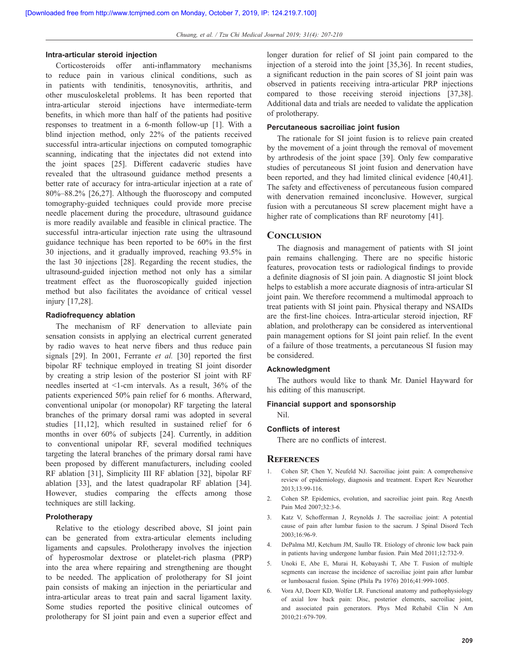#### **Intra-articular steroid injection**

Corticosteroids offer anti‑inflammatory mechanisms to reduce pain in various clinical conditions, such as in patients with tendinitis, tenosynovitis, arthritis, and other musculoskeletal problems. It has been reported that intra-articular steroid injections have intermediate-term benefits, in which more than half of the patients had positive responses to treatment in a 6-month follow-up [1]. With a blind injection method, only 22% of the patients received successful intra-articular injections on computed tomographic scanning, indicating that the injectates did not extend into the joint spaces [25]. Different cadaveric studies have revealed that the ultrasound guidance method presents a better rate of accuracy for intra-articular injection at a rate of 80%–88.2% [26,27]. Although the fluoroscopy and computed tomography-guided techniques could provide more precise needle placement during the procedure, ultrasound guidance is more readily available and feasible in clinical practice. The successful intra-articular injection rate using the ultrasound guidance technique has been reported to be 60% in the first 30 injections, and it gradually improved, reaching 93.5% in the last 30 injections [28]. Regarding the recent studies, the ultrasound-guided injection method not only has a similar treatment effect as the fluoroscopically guided injection method but also facilitates the avoidance of critical vessel injury [17,28].

## **Radiofrequency ablation**

The mechanism of RF denervation to alleviate pain sensation consists in applying an electrical current generated by radio waves to heat nerve fibers and thus reduce pain signals [29]. In 2001, Ferrante *et al.* [30] reported the first bipolar RF technique employed in treating SI joint disorder by creating a strip lesion of the posterior SI joint with RF needles inserted at <1‑cm intervals. As a result, 36% of the patients experienced 50% pain relief for 6 months. Afterward, conventional unipolar (or monopolar) RF targeting the lateral branches of the primary dorsal rami was adopted in several studies [11,12], which resulted in sustained relief for 6 months in over 60% of subjects [24]. Currently, in addition to conventional unipolar RF, several modified techniques targeting the lateral branches of the primary dorsal rami have been proposed by different manufacturers, including cooled RF ablation [31], Simplicity III RF ablation [32], bipolar RF ablation [33], and the latest quadrapolar RF ablation [34]. However, studies comparing the effects among those techniques are still lacking.

## **Prolotherapy**

Relative to the etiology described above, SI joint pain can be generated from extra-articular elements including ligaments and capsules. Prolotherapy involves the injection of hyperosmolar dextrose or platelet-rich plasma (PRP) into the area where repairing and strengthening are thought to be needed. The application of prolotherapy for SI joint pain consists of making an injection in the periarticular and intra-articular areas to treat pain and sacral ligament laxity. Some studies reported the positive clinical outcomes of prolotherapy for SI joint pain and even a superior effect and longer duration for relief of SI joint pain compared to the injection of a steroid into the joint [35,36]. In recent studies, a significant reduction in the pain scores of SI joint pain was observed in patients receiving intra-articular PRP injections compared to those receiving steroid injections [37,38]. Additional data and trials are needed to validate the application of prolotherapy.

## **Percutaneous sacroiliac joint fusion**

The rationale for SI joint fusion is to relieve pain created by the movement of a joint through the removal of movement by arthrodesis of the joint space [39]. Only few comparative studies of percutaneous SI joint fusion and denervation have been reported, and they had limited clinical evidence [40,41]. The safety and effectiveness of percutaneous fusion compared with denervation remained inconclusive. However, surgical fusion with a percutaneous SI screw placement might have a higher rate of complications than RF neurotomy [41].

## **Conclusion**

The diagnosis and management of patients with SI joint pain remains challenging. There are no specific historic features, provocation tests or radiological findings to provide a definite diagnosis of SI join pain. A diagnostic SI joint block helps to establish a more accurate diagnosis of intra-articular SI joint pain. We therefore recommend a multimodal approach to treat patients with SI joint pain. Physical therapy and NSAIDs are the first-line choices. Intra-articular steroid injection, RF ablation, and prolotherapy can be considered as interventional pain management options for SI joint pain relief. In the event of a failure of those treatments, a percutaneous SI fusion may be considered.

## **Acknowledgment**

The authors would like to thank Mr. Daniel Hayward for his editing of this manuscript.

# **Financial support and sponsorship**

# **Conflicts of interest**

There are no conflicts of interest.

## **References**

Nil.

- 1. Cohen SP, Chen Y, Neufeld NJ. Sacroiliac joint pain: A comprehensive review of epidemiology, diagnosis and treatment. Expert Rev Neurother 2013;13:99-116.
- 2. Cohen SP. Epidemics, evolution, and sacroiliac joint pain. Reg Anesth Pain Med 2007;32:3-6.
- 3. Katz V, Schofferman J, Reynolds J. The sacroiliac joint: A potential cause of pain after lumbar fusion to the sacrum. J Spinal Disord Tech 2003;16:96-9.
- 4. DePalma MJ, Ketchum JM, Saullo TR. Etiology of chronic low back pain in patients having undergone lumbar fusion. Pain Med 2011;12:732-9.
- 5. Unoki E, Abe E, Murai H, Kobayashi T, Abe T. Fusion of multiple segments can increase the incidence of sacroiliac joint pain after lumbar or lumbosacral fusion. Spine (Phila Pa 1976) 2016;41:999-1005.
- 6. Vora AJ, Doerr KD, Wolfer LR. Functional anatomy and pathophysiology of axial low back pain: Disc, posterior elements, sacroiliac joint, and associated pain generators. Phys Med Rehabil Clin N Am 2010;21:679-709.